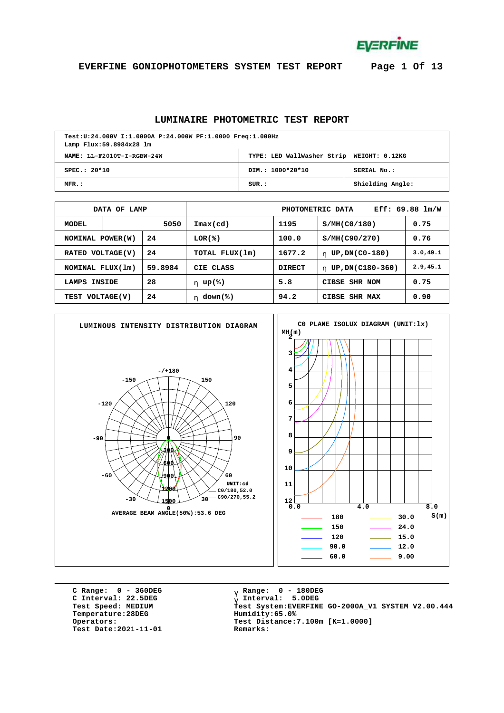**EVERFINE** 

**EVERFINE GONIOPHOTOMETERS SYSTEM TEST REPORT Page 1 Of 13**

### **LUMINAIRE PHOTOMETRIC TEST REPORT**

| Test:U:24.000V I:1.0000A P:24.000W PF:1.0000 Freq:1.000Hz<br>Lamp Flux: 59.8984x28 lm |                                           |                  |  |  |  |  |  |  |  |
|---------------------------------------------------------------------------------------|-------------------------------------------|------------------|--|--|--|--|--|--|--|
| NAME: LL-F2010T-I-RGBW-24W                                                            | TYPE: LED WallWasher Strip WEIGHT: 0.12KG |                  |  |  |  |  |  |  |  |
| SPEC.: 20*10                                                                          | DIM.: 1000*20*10                          | SERIAL No.:      |  |  |  |  |  |  |  |
| $MFR$ .:                                                                              | SUR.:                                     | Shielding Angle: |  |  |  |  |  |  |  |

|                       | DATA OF LAMP           |              |                            | Eff: $69.88$ $lm/W$<br>PHOTOMETRIC DATA |                        |           |  |  |  |  |
|-----------------------|------------------------|--------------|----------------------------|-----------------------------------------|------------------------|-----------|--|--|--|--|
| MODEL                 |                        | 5050         | $\texttt{Imax}(\text{cd})$ | 1195                                    | S/MH(C0/180)           | 0.75      |  |  |  |  |
|                       | 24<br>NOMINAL POWER(W) |              | $LOR(\mathcal{E})$         | 100.0                                   | S/MH(C90/270)          | 0.76      |  |  |  |  |
| <b>RATED</b>          | VOLTAGE(V)             | 24           | TOTAL FLUX(1m)             | 1677.2                                  | UP, DN(C0-180)<br>h.   | 3.0, 49.1 |  |  |  |  |
| NOMINAL FLUX(1m)      |                        | 59.8984      | CIE CLASS                  | <b>DIRECT</b>                           | UP, DN(C180-360)<br>h. | 2.9, 45.1 |  |  |  |  |
| LAMPS                 | <b>INSIDE</b>          | 28           | h $up$ (%)                 | 5.8                                     | CIBSE SHR NOM          | 0.75      |  |  |  |  |
| 24<br>TEST VOLTAGE(V) |                        | h $down$ (%) | 94.2                       | CIBSE<br>SHR MAX                        | 0.90                   |           |  |  |  |  |



**C Range: 0 - 360DEG C Interval: 22.5DEG Test Speed: MEDIUM Temperature:28DEG Operators: Test Date:2021-11-01 Remarks:**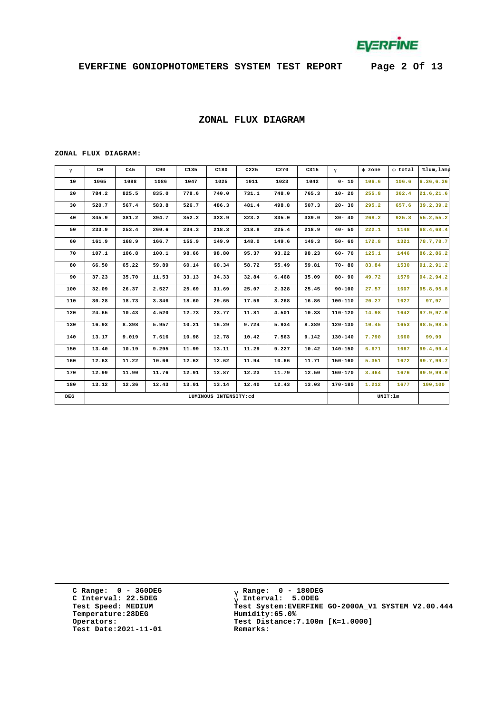

### **ZONAL FLUX DIAGRAM**

#### **ZONAL FLUX DIAGRAM:**

| g   | C <sub>0</sub> | C45   | C90   | C135  | C180  | C225     | C270  | C315  | $\mathsf{q}$ | F zone | F total | %lum, lamp |
|-----|----------------|-------|-------|-------|-------|----------|-------|-------|--------------|--------|---------|------------|
| 10  | 1065           | 1088  | 1086  | 1047  | 1025  | 1011     | 1023  | 1042  | $0 - 10$     | 106.6  | 106.6   | 6.36, 6.36 |
| 20  | 784.2          | 825.5 | 835.0 | 778.6 | 740.0 | 731.1    | 748.0 | 765.3 | $10 - 20$    | 255.8  | 362.4   | 21.6, 21.6 |
| 30  | 520.7          | 567.4 | 583.8 | 526.7 | 486.3 | 481.4    | 498.8 | 507.3 | $20 - 30$    | 295.2  | 657.6   | 39.2, 39.2 |
| 40  | 345.9          | 381.2 | 394.7 | 352.2 | 323.9 | 323.2    | 335.0 | 339.0 | $30 - 40$    | 268.2  | 925.8   | 55.2,55.2  |
| 50  | 233.9          | 253.4 | 260.6 | 234.3 | 218.3 | 218.8    | 225.4 | 218.9 | $40 - 50$    | 222.1  | 1148    | 68.4,68.4  |
| 60  | 161.9          | 168.9 | 166.7 | 155.9 | 149.9 | 148.0    | 149.6 | 149.3 | $50 - 60$    | 172.8  | 1321    | 78.7,78.7  |
| 70  | 107.1          | 106.8 | 100.1 | 98.66 | 98.80 | 95.37    | 93.22 | 98.23 | $60 - 70$    | 125.1  | 1446    | 86.2,86.2  |
| 80  | 66.50          | 65.22 | 59.89 | 60.14 | 60.34 | 58.72    | 55.49 | 59.81 | $70 - 80$    | 83.84  | 1530    | 91.2, 91.2 |
| 90  | 37.23          | 35.70 | 11.53 | 33.13 | 34.33 | 32.84    | 6.468 | 35.09 | $80 - 90$    | 49.72  | 1579    | 94.2,94.2  |
| 100 | 32.09          | 26.37 | 2.527 | 25.69 | 31.69 | 25.07    | 2.328 | 25.45 | $90 - 100$   | 27.57  | 1607    | 95.8,95.8  |
| 110 | 30.28          | 18.73 | 3.346 | 18.60 | 29.65 | 17.59    | 3.268 | 16.86 | 100-110      | 20.27  | 1627    | 97,97      |
| 120 | 24.65          | 10.43 | 4.520 | 12.73 | 23.77 | 11.81    | 4.501 | 10.33 | $110 - 120$  | 14.98  | 1642    | 97.9,97.9  |
| 130 | 16.93          | 8.398 | 5.957 | 10.21 | 16.29 | 9.724    | 5.934 | 8.389 | $120 - 130$  | 10.45  | 1653    | 98.5,98.5  |
| 140 | 13.17          | 9.019 | 7.616 | 10.98 | 12.78 | 10.42    | 7.563 | 9.142 | $130 - 140$  | 7.790  | 1660    | 99,99      |
| 150 | 13.40          | 10.19 | 9.295 | 11.99 | 13.11 | 11.29    | 9.227 | 10.42 | $140 - 150$  | 6.671  | 1667    | 99.4,99.4  |
| 160 | 12.63          | 11.22 | 10.66 | 12.62 | 12.62 | 11.94    | 10.66 | 11.71 | $150 - 160$  | 5.351  | 1672    | 99.7,99.7  |
| 170 | 12.99          | 11.90 | 11.76 | 12.91 | 12.87 | 12.23    | 11.79 | 12.50 | $160 - 170$  | 3.464  | 1676    | 99.9,99.9  |
| 180 | 13.12          | 12.36 | 12.43 | 13.01 | 13.14 | 12.40    | 12.43 | 13.03 | 170-180      | 1.212  | 1677    | 100,100    |
| DEG |                |       |       |       |       | UNIT: 1m |       |       |              |        |         |            |

**C Range: 0 - 360DEG Range: 0 - 180DEG C Interval: 22.5DEG Test Speed: MEDIUM Temperature:28DEG Operators: Test Date:2021-11-01 Remarks:**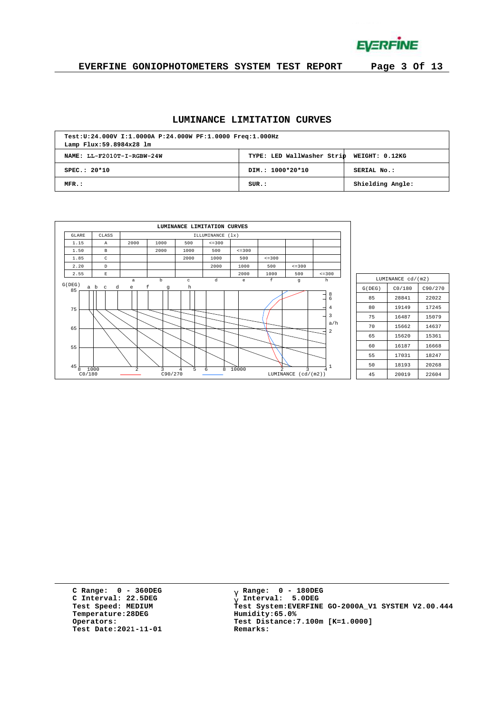

**EVERFINE GONIOPHOTOMETERS SYSTEM TEST REPORT Page 3 Of 13**

#### **LUMINANCE LIMITATION CURVES**

| Test:U:24.000V I:1.0000A P:24.000W PF:1.0000 Freq:1.000Hz<br>Lamp Flux: 59.8984x28 lm |                                           |                  |  |  |  |  |  |  |  |
|---------------------------------------------------------------------------------------|-------------------------------------------|------------------|--|--|--|--|--|--|--|
| NAME: LL-F2010T-I-RGBW-24W                                                            | TYPE: LED WallWasher Strip WEIGHT: 0.12KG |                  |  |  |  |  |  |  |  |
| $SPEC.: 20*10$                                                                        | DIM.: 1000*20*10                          | SERIAL No.:      |  |  |  |  |  |  |  |
| MFR.:                                                                                 | SUB.:                                     | Shielding Angle: |  |  |  |  |  |  |  |

|                           |                          |                   |                      | LUMINANCE LIMITATION CURVES |                  |                                   |                             |                |                                |
|---------------------------|--------------------------|-------------------|----------------------|-----------------------------|------------------|-----------------------------------|-----------------------------|----------------|--------------------------------|
| <b>GLARE</b>              | CLASS                    |                   |                      |                             | ILLUMINANCE (1x) |                                   |                             |                |                                |
| 1.15                      | $\mathbb{A}$             | 2000              | 1000                 | 500                         | $\le$ = 300      |                                   |                             |                |                                |
| 1.50                      | $\,$ B                   |                   | 2000                 | 1000                        | 500              | $\leq$ = 300                      |                             |                |                                |
| 1.85                      | C                        |                   |                      | 2000                        | 1000             | 500                               | $\leq$ = 300                |                |                                |
| 2.20                      | D                        |                   |                      |                             | 2000             | 1000                              | 500                         | $\leq$ = 300   |                                |
| 2.55                      | $\mathbf E$              |                   |                      |                             |                  | 2000                              | 1000                        | 500            | $\leq$ = 300                   |
| G(DEG)                    | a b<br>d<br>$\mathbf{C}$ | $\mathsf{a}$<br>e | $_{\rm b}$<br>f<br>g | $\rm ^c$<br>h               | d                | $\mathsf{e}% _{t}\left( t\right)$ | f                           | g              | h                              |
| 85<br>75                  |                          |                   |                      |                             |                  |                                   |                             |                | $\frac{8}{6}$<br>$\bf 4$<br>3  |
| 65                        |                          |                   |                      |                             |                  |                                   |                             |                | a/h<br>$\overline{\mathbf{c}}$ |
| 55                        |                          |                   |                      |                             |                  |                                   |                             |                |                                |
| $45\frac{1}{8}$<br>CO/180 | 1000                     | 2                 | 3<br>C90/270         | 5<br>$\overline{4}$         | 8<br>6           | 10000                             | $\overline{2}$<br>LUMINANCE | ς<br>(cd/(m2)) | $\mathbf{1}$<br>4              |

| LUMINANCE cd/(m2) |        |         |  |  |  |  |  |  |  |  |
|-------------------|--------|---------|--|--|--|--|--|--|--|--|
| G(DEG)            | CO/180 | C90/270 |  |  |  |  |  |  |  |  |
| 85                | 28841  | 22022   |  |  |  |  |  |  |  |  |
| 80                | 19149  | 17245   |  |  |  |  |  |  |  |  |
| 75                | 16487  | 15079   |  |  |  |  |  |  |  |  |
| 70                | 15662  | 14637   |  |  |  |  |  |  |  |  |
| 65                | 15620  | 15361   |  |  |  |  |  |  |  |  |
| 60                | 16187  | 16668   |  |  |  |  |  |  |  |  |
| 55                | 17031  | 18247   |  |  |  |  |  |  |  |  |
| 50                | 20268  |         |  |  |  |  |  |  |  |  |
| 45                | 20019  | 22604   |  |  |  |  |  |  |  |  |

**C Range: 0 - 360DEG C Interval: 22.5DEG Test Speed: MEDIUM Temperature:28DEG Operators: Test Date:2021-11-01 Remarks:**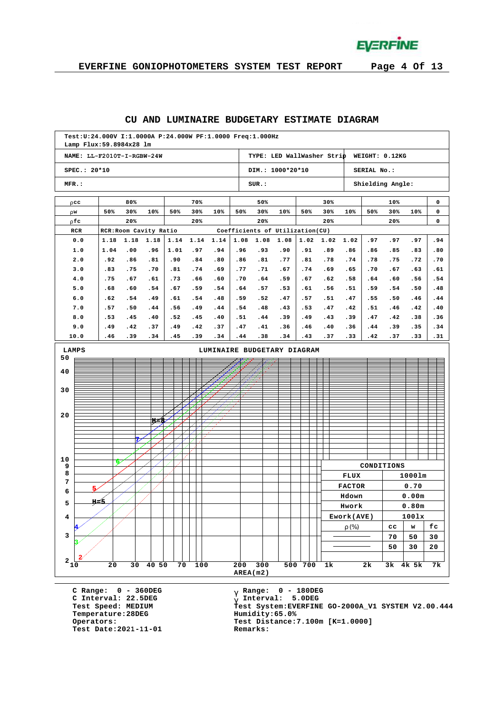

# **EVERFINE GONIOPHOTOMETERS SYSTEM TEST REPORT Page 4 Of 13**

#### **CU AND LUMINAIRE BUDGETARY ESTIMATE DIAGRAM**

|                 | Test: U: 24.000V I: 1.0000A P: 24.000W PF: 1.0000 Freq: 1.000Hz<br>Lamp Flux: 59.8984x28 lm |              |                        |             |              |             |             |             |                                 |             |             |                            |               |                  |               |            |            |
|-----------------|---------------------------------------------------------------------------------------------|--------------|------------------------|-------------|--------------|-------------|-------------|-------------|---------------------------------|-------------|-------------|----------------------------|---------------|------------------|---------------|------------|------------|
|                 | NAME: LL-F2010T-I-RGBW-24W                                                                  |              |                        |             |              |             |             |             |                                 |             |             | TYPE: LED WallWasher Strip |               | WEIGHT: 0.12KG   |               |            |            |
|                 | SPEC.: 20*10                                                                                |              |                        |             |              |             |             |             | DIM.: 1000*20*10                |             |             |                            |               | SERIAL No.:      |               |            |            |
| MFR.:           |                                                                                             |              |                        |             |              |             |             |             | SUR:                            |             |             |                            |               | Shielding Angle: |               |            |            |
|                 | r cc                                                                                        |              | 80%                    |             |              | 70%         |             |             | 50%                             |             |             | 30%                        |               |                  | 10%           |            | 0          |
| r w             |                                                                                             | 50%          | 30%                    | 10%         | 50%          | 30%         | 10%         | 50%         | 30%                             | 10%         | 50%         | 30%                        | 10%           | 50%              | 30%           | 10%        | 0          |
|                 | r fc                                                                                        |              | 20%                    |             |              | 20%         |             |             | 20%                             |             |             | 20%                        |               |                  | 20%           |            | 0          |
|                 | RCR                                                                                         |              | RCR: Room Cavity Ratio |             |              |             |             |             | Coefficients of Utilization(CU) |             |             |                            |               |                  |               |            |            |
|                 | 0.0<br>1.0                                                                                  | 1.18<br>1.04 | 1.18<br>.00            | 1.18<br>.96 | 1.14<br>1.01 | 1.14<br>.97 | 1.14<br>.94 | 1.08<br>.96 | 1.08<br>.93                     | 1.08<br>.90 | 1.02<br>.91 | 1.02<br>.89                | 1.02<br>.86   | .97<br>.86       | .97<br>.85    | .97<br>.83 | .94<br>.80 |
|                 | 2.0                                                                                         | .92          | .86                    | .81         | .90          | .84         | .80         | .86         | .81                             | .77         | .81         | .78                        | .74           | .78              | .75           | .72        | .70        |
|                 | 3.0                                                                                         | .83          | .75                    | .70         | .81          | .74         | .69         | .77         | .71                             | .67         | .74         | .69                        | .65           | .70              | .67           | .63        | .61        |
|                 | 4.0                                                                                         | .75          | .67                    | .61         | .73          | .66         | .60         | .70         | .64                             | .59         | .67         | .62                        | .58           | .64              | .60           | .56        | .54        |
|                 | 5.0                                                                                         | .68          | .60                    | .54         | .67          | .59         | .54         | .64         | .57                             | .53         | .61         | .56                        | .51           | .59              | .54           | .50        | .48        |
|                 | 6.0                                                                                         | .62          | .54                    | .49         | .61          | .54         | .48         | .59         | .52                             | .47         | .57         | .51                        | .47           | .55              | .50           | .46        | .44        |
|                 | 7.0                                                                                         | .57          | .50                    | .44         | .56          | .49         | .44         | .54         | .48                             | .43         | .53         | .47                        | .42           | .51              | .46           | .42        | .40        |
|                 | 8.0                                                                                         | .53          | .45                    | .40         | .52          | .45         | .40         | .51         | .44                             | .39         | .49         | .43                        | .39           | .47              | .42           | .38        | .36        |
|                 | 9.0<br>10.0                                                                                 | .49<br>.46   | .42<br>.39             | .37<br>.34  | .49<br>.45   | .42<br>.39  | .37<br>.34  | .47<br>.44  | .41<br>.38                      | .36<br>.34  | .46<br>.43  | .40<br>.37                 | .36<br>.33    | .44<br>.42       | .39<br>.37    | .35<br>.33 | .34<br>.31 |
|                 | LAMPS<br>LUMINAIRE BUDGETARY DIAGRAM                                                        |              |                        |             |              |             |             |             |                                 |             |             |                            |               |                  |               |            |            |
| 50              |                                                                                             |              |                        |             |              |             |             |             |                                 |             |             |                            |               |                  |               |            |            |
| 40              |                                                                                             |              |                        |             |              |             |             |             |                                 |             |             |                            |               |                  |               |            |            |
|                 |                                                                                             |              |                        |             |              |             |             |             |                                 |             |             |                            |               |                  |               |            |            |
| 30              |                                                                                             |              |                        |             |              |             |             |             |                                 |             |             |                            |               |                  |               |            |            |
|                 |                                                                                             |              |                        |             |              |             |             |             |                                 |             |             |                            |               |                  |               |            |            |
| 20              |                                                                                             |              |                        |             |              |             |             |             |                                 |             |             |                            |               |                  |               |            |            |
|                 |                                                                                             |              |                        | II≡8        |              |             |             |             |                                 |             |             |                            |               |                  |               |            |            |
|                 |                                                                                             |              |                        |             |              |             |             |             |                                 |             |             |                            |               |                  |               |            |            |
|                 |                                                                                             |              |                        |             |              |             |             |             |                                 |             |             |                            |               |                  |               |            |            |
| 10              |                                                                                             |              |                        |             |              |             |             |             |                                 |             |             |                            |               |                  |               |            |            |
| 9               |                                                                                             | ໑∕           |                        |             |              |             |             |             |                                 |             |             |                            |               | CONDITIONS       |               |            |            |
| 8<br>7          |                                                                                             |              |                        |             |              |             |             |             |                                 |             |             |                            | FLUX          |                  |               | 1000lm     |            |
| 6               | 5                                                                                           |              |                        |             |              |             |             |             |                                 |             |             |                            | <b>FACTOR</b> |                  |               | 0.70       |            |
| 5               | <u>y∠5</u>                                                                                  |              |                        |             |              |             |             |             |                                 |             |             |                            | Hdown         |                  |               | 0.00m      |            |
|                 |                                                                                             |              |                        |             |              |             |             |             |                                 |             |             |                            | Hwork         |                  |               | 0.80m      |            |
| 4               |                                                                                             |              |                        |             |              |             |             |             |                                 |             |             |                            | Ework(AVE)    |                  |               | 1001x      |            |
| 3               |                                                                                             |              |                        |             |              |             |             |             |                                 |             |             |                            | r $(\%)$      |                  | $_{cc}$<br>70 | w<br>50    | fc<br>30   |
|                 |                                                                                             |              |                        |             |              |             |             |             |                                 |             |             |                            |               |                  | 50            | 30         | 20         |
|                 |                                                                                             |              |                        |             |              |             |             |             |                                 |             |             |                            |               |                  |               |            |            |
| $^2\mathbf{10}$ |                                                                                             | 20           | 30                     | 40 50       | 70           | 100         |             | 200         | 300                             |             | 500 700     | 1k                         |               | 2k               |               | 3k 4k 5k   | 7k         |
|                 |                                                                                             |              |                        |             |              |             |             |             | AREA(m2)                        |             |             |                            |               |                  |               |            |            |

**C Range: 0 - 360DEG C Interval: 22.5DEG Test Speed: MEDIUM Temperature:28DEG Operators: Test Date:2021-11-01 Remarks:**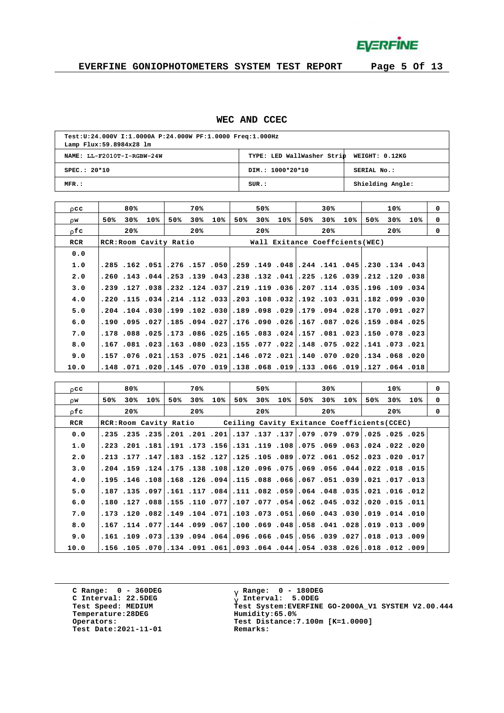

### **WEC AND CCEC**

| Test:U:24.000V I:1.0000A P:24.000W PF:1.0000 Freq:1.000Hz<br>Lamp Flux: 59.8984x28 lm |                                           |                  |  |  |  |  |  |  |  |
|---------------------------------------------------------------------------------------|-------------------------------------------|------------------|--|--|--|--|--|--|--|
| NAME: LL-F2010T-I-RGBW-24W                                                            | TYPE: LED WallWasher Strip WEIGHT: 0.12KG |                  |  |  |  |  |  |  |  |
| $SPEC.: 20*10$                                                                        | DIM.: 1000*20*10                          | SERIAL No.:      |  |  |  |  |  |  |  |
| MFR.:                                                                                 | SUR.:                                     | Shielding Angle: |  |  |  |  |  |  |  |

| r cc  | 80%                    | 70%               | 50%               | 30%                                                                                    | 10%                                                                                  | $\Omega$    |
|-------|------------------------|-------------------|-------------------|----------------------------------------------------------------------------------------|--------------------------------------------------------------------------------------|-------------|
| r w   | 30%<br>50%<br>10%      | 30%<br>10%<br>50% | 50%<br>30%<br>10% | 50%<br>30%<br>10%                                                                      | 50%<br>30%<br>10%                                                                    | 0           |
| r fic | 20%                    | 20%               | 20%               | 20%                                                                                    | 20%                                                                                  | $\mathbf 0$ |
| RCR   | RCR: Room Cavity Ratio |                   |                   | Wall Exitance Coeffcients (WEC)                                                        |                                                                                      |             |
| 0.0   |                        |                   |                   |                                                                                        |                                                                                      |             |
| 1.0   |                        |                   |                   | .285. 134. 130. 141. 141. 144. 144. 149. 159. 150. 157. 157. 157. 158. 165. 165.       |                                                                                      |             |
| 2.0   |                        |                   |                   | .260. 120. 121. [129. 126. 125. 125. 131. 138. 139. 143. 153. [143. 143. 154. 160.     |                                                                                      |             |
| 3.0   |                        |                   |                   | .239. 109. 109. 114. 127. 207. 207. 119. 119. 219. 124. 232. 238. 237. 129. 239.       |                                                                                      |             |
| 4.0   |                        |                   |                   | 030, 099, 182, 1031, 103, 103, 108, 108, 203, 103, 112, 114, 1034, 115, 120, 115, 220, |                                                                                      |             |
| 5.0   |                        |                   |                   | ,202. 91. 170. 170. 294. 179. 179. 209. 198. 189. 102. 102. 109. 109. 104. 204.        |                                                                                      |             |
| 6.0   |                        |                   |                   | .125. 084. 159. 162. 167. 167. 126. 1090. 1090. 1027. 1094. 185. 1027. 195. 190.       |                                                                                      |             |
| 7.0   |                        |                   |                   | .178 .078 .079 .081 .023 .051 .081 .083 .083 .085 .025 .086 .025 .088 .089 .078 .      |                                                                                      |             |
| 8.0   |                        |                   |                   | .120. 073. 141.  220. 075. 148.  222. 077. 075. 023. 080. 053. 023. 081. 167.          |                                                                                      |             |
| 9.0   |                        |                   |                   | 020. 068. 074. 020. 070. 010. 021. 072. 070. 016. 075. 075. 021. 076. 076. 157.        |                                                                                      |             |
| 10.0  |                        |                   |                   |                                                                                        | 180. 064. 127.  1910. 066. 113.  1910. 068. 118.  1910. 1070. 145.  1020. 1071. 148. |             |

| r cc  |                                                                                    | 80% |     | 70%     |     |     | 50% |     |     | 30% |     |     | 10% |                                                                               | $^{\circ}$  |
|-------|------------------------------------------------------------------------------------|-----|-----|---------|-----|-----|-----|-----|-----|-----|-----|-----|-----|-------------------------------------------------------------------------------|-------------|
| r w   | 50%                                                                                | 30% | 10% | 50% 30% | 10% | 50% | 30% | 10% | 50% | 30% | 10% | 50% |     | $30\%$ 10%                                                                    | 0           |
| r f c |                                                                                    | 20% |     | 20%     |     |     | 20% |     |     | 20% |     |     | 20% |                                                                               | $\mathbf 0$ |
| RCR   | RCR: Room Cavity Ratio Ceiling Cavity Exitance Coefficients (CCEC)                 |     |     |         |     |     |     |     |     |     |     |     |     |                                                                               |             |
| 0.0   | 25، 25، 255، 279، 279، 279، 279، 137، 137، 201، 201، 201، 235، 235، 235، 235،      |     |     |         |     |     |     |     |     |     |     |     |     |                                                                               |             |
| 1.0   | 200، 222، 204، 163، 169، 175، 108، 119، 111، 156، 173، 191، 181، 201، 223،         |     |     |         |     |     |     |     |     |     |     |     |     |                                                                               |             |
| 2.0   | 170. 200. 203. 2021. 201. 2022. 209. 205. 205. 127. 152. 143. 147. 177. 213.       |     |     |         |     |     |     |     |     |     |     |     |     |                                                                               |             |
| 3.0   | 150، 180، 1022، 104، 1056، 106، 106، 106، 110، 108، 108، 107، 124، 159، 204،       |     |     |         |     |     |     |     |     |     |     |     |     |                                                                               |             |
| 4.0   | 110. 107. 021. 039. 031. 057. 067. 088. 108. 194. 126. 126. 108. 108. 146. 195.    |     |     |         |     |     |     |     |     |     |     |     |     |                                                                               |             |
| 5.0   | 120. 16. 1021. 1031. 1048. 1044. 1059. 1082. 111. 1084. 117. 1011. 1097. 117. 167. |     |     |         |     |     |     |     |     |     |     |     |     |                                                                               |             |
| 6.0   | .110. 151. 020. 032. 140. 162. 054. 057. 077. 077. 101. 155. 088. 127. 180.        |     |     |         |     |     |     |     |     |     |     |     |     |                                                                               |             |
| 7.0   | 100. 104. 109. 109. 103. 103. 105. 103. 103. 109. 104. 109. 109. 120. 113. 173.    |     |     |         |     |     |     |     |     |     |     |     |     |                                                                               |             |
| 8.0   | 009، 103، 109، 209، 041، 108، 048، 169، 100، 109، 109، 144، 1077، 114، 167.        |     |     |         |     |     |     |     |     |     |     |     |     |                                                                               |             |
| 9.0   |                                                                                    |     |     |         |     |     |     |     |     |     |     |     |     | 009، 13، 108، 27 1012، 103، 105، 106، 106، 106، 109، 109، 109، 109، 109. 101. |             |
| 10.0  | 009، 120، 108، 26 ، 268، 264، 204 ، 204، 203، 201، 201، 204، 206، 105، 156، 156،   |     |     |         |     |     |     |     |     |     |     |     |     |                                                                               |             |

**C Range: 0 - 360DEG C Interval: 22.5DEG Test Speed: MEDIUM Temperature:28DEG Operators: Test Date:2021-11-01 Remarks:**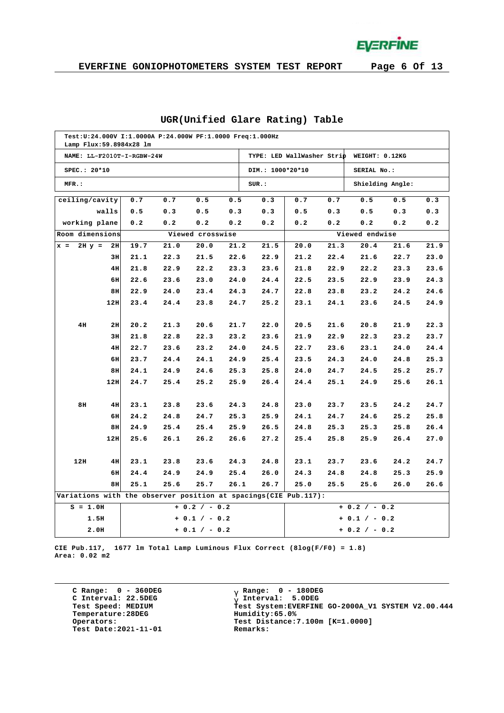**EVERFINE** 

# **EVERFINE GONIOPHOTOMETERS SYSTEM TEST REPORT Page 6 Of 13**

| Test: U: 24.000V I:1.0000A P: 24.000W PF: 1.0000 Freq: 1.000Hz                                      |                                                                 |      |      |                  |      |                  |                 |      |                  |      |      |
|-----------------------------------------------------------------------------------------------------|-----------------------------------------------------------------|------|------|------------------|------|------------------|-----------------|------|------------------|------|------|
| Lamp Flux: 59.8984x28 lm<br>TYPE: LED WallWasher Strip WEIGHT: 0.12KG<br>NAME: LL-F2010T-I-RGBW-24W |                                                                 |      |      |                  |      |                  |                 |      |                  |      |      |
| SPEC.: 20*10                                                                                        |                                                                 |      |      |                  |      | DIM.: 1000*20*10 |                 |      | SERIAL No.:      |      |      |
| MFR.:                                                                                               |                                                                 |      |      |                  |      | SUR.:            |                 |      | Shielding Angle: |      |      |
| ceiling/cavity                                                                                      |                                                                 | 0.7  | 0.7  | 0.5              | 0.5  | 0.3              | 0.7             | 0.7  | 0.5              | 0.5  | 0.3  |
|                                                                                                     | walls                                                           | 0.5  | 0.3  | 0.5              | 0.3  | 0.3              | 0.5             | 0.3  | 0.5              | 0.3  | 0.3  |
| working plane                                                                                       |                                                                 | 0.2  | 0.2  | 0.2              | 0.2  | 0.2              | 0.2             | 0.2  | 0.2              | 0.2  | 0.2  |
| Room dimensions                                                                                     |                                                                 |      |      | Viewed crosswise |      |                  |                 |      | Viewed endwise   |      |      |
| $2H y =$<br>$x =$                                                                                   | 2H                                                              | 19.7 | 21.0 | 20.0             | 21.2 | 21.5             | 20.0            | 21.3 | 20.4             | 21.6 | 21.9 |
|                                                                                                     | 3H                                                              | 21.1 | 22.3 | 21.5             | 22.6 | 22.9             | 21.2            | 22.4 | 21.6             | 22.7 | 23.0 |
|                                                                                                     | 4H                                                              | 21.8 | 22.9 | 22.2             | 23.3 | 23.6             | 21.8            | 22.9 | 22.2             | 23.3 | 23.6 |
|                                                                                                     | 6H                                                              | 22.6 | 23.6 | 23.0             | 24.0 | 24.4             | 22.5            | 23.5 | 22.9             | 23.9 | 24.3 |
|                                                                                                     | 8H                                                              | 22.9 | 24.0 | 23.4             | 24.3 | 24.7             | 22.8            | 23.8 | 23.2             | 24.2 | 24.6 |
|                                                                                                     | 12H                                                             | 23.4 | 24.4 | 23.8             | 24.7 | 25.2             | 23.1            | 24.1 | 23.6             | 24.5 | 24.9 |
|                                                                                                     |                                                                 |      |      |                  |      |                  |                 |      |                  |      |      |
| 4H                                                                                                  | 2H                                                              | 20.2 | 21.3 | 20.6             | 21.7 | 22.0             | 20.5            | 21.6 | 20.8             | 21.9 | 22.3 |
|                                                                                                     | 3H                                                              | 21.8 | 22.8 | 22.3             | 23.2 | 23.6             | 21.9            | 22.9 | 22.3             | 23.2 | 23.7 |
|                                                                                                     | 4H                                                              | 22.7 | 23.6 | 23.2             | 24.0 | 24.5             | 22.7            | 23.6 | 23.1             | 24.0 | 24.4 |
|                                                                                                     | 6H                                                              | 23.7 | 24.4 | 24.1             | 24.9 | 25.4             | 23.5            | 24.3 | 24.0             | 24.8 | 25.3 |
|                                                                                                     | 8H                                                              | 24.1 | 24.9 | 24.6             | 25.3 | 25.8             | 24.0            | 24.7 | 24.5             | 25.2 | 25.7 |
|                                                                                                     | 12H                                                             | 24.7 | 25.4 | 25.2             | 25.9 | 26.4             | 24.4            | 25.1 | 24.9             | 25.6 | 26.1 |
| 8H                                                                                                  | 4H                                                              | 23.1 | 23.8 | 23.6             | 24.3 | 24.8             | 23.0            | 23.7 | 23.5             | 24.2 | 24.7 |
|                                                                                                     | 6H                                                              | 24.2 | 24.8 | 24.7             | 25.3 | 25.9             | 24.1            | 24.7 | 24.6             | 25.2 | 25.8 |
|                                                                                                     | 8H                                                              | 24.9 | 25.4 | 25.4             | 25.9 | 26.5             | 24.8            | 25.3 | 25.3             | 25.8 | 26.4 |
|                                                                                                     | 12H                                                             | 25.6 | 26.1 | 26.2             | 26.6 | 27.2             | 25.4            | 25.8 | 25.9             | 26.4 | 27.0 |
|                                                                                                     |                                                                 |      |      |                  |      |                  |                 |      |                  |      |      |
| 12H                                                                                                 | 4H                                                              | 23.1 | 23.8 | 23.6             | 24.3 | 24.8             | 23.1            | 23.7 | 23.6             | 24.2 | 24.7 |
|                                                                                                     | 6H                                                              | 24.4 | 24.9 | 24.9             | 25.4 | 26.0             | 24.3            | 24.8 | 24.8             | 25.3 | 25.9 |
|                                                                                                     | 8H                                                              | 25.1 | 25.6 | 25.7             | 26.1 | 26.7             | 25.0            | 25.5 | 25.6             | 26.0 | 26.6 |
|                                                                                                     | Variations with the observer position at spacings(CIE Pub.117): |      |      |                  |      |                  |                 |      |                  |      |      |
| $S = 1.0H$                                                                                          |                                                                 |      |      | $+ 0.2 / - 0.2$  |      |                  | $+ 0.2 / - 0.2$ |      |                  |      |      |
| 1.5H                                                                                                |                                                                 |      |      | $+ 0.1 / - 0.2$  |      |                  | $+ 0.1 / - 0.2$ |      |                  |      |      |
| 2.0H                                                                                                |                                                                 |      |      | $+ 0.1 / - 0.2$  |      |                  |                 |      | $+ 0.2 / - 0.2$  |      |      |

#### **UGR(Unified Glare Rating) Table**

**CIE Pub.117, 1677 lm Total Lamp Luminous Flux Correct (8log(F/F0) = 1.8) Area: 0.02 m2**

**C Range: 0 - 360DEG C Interval: 22.5DEG Test Speed: MEDIUM Temperature:28DEG Operators: Test Date:2021-11-01 Remarks:**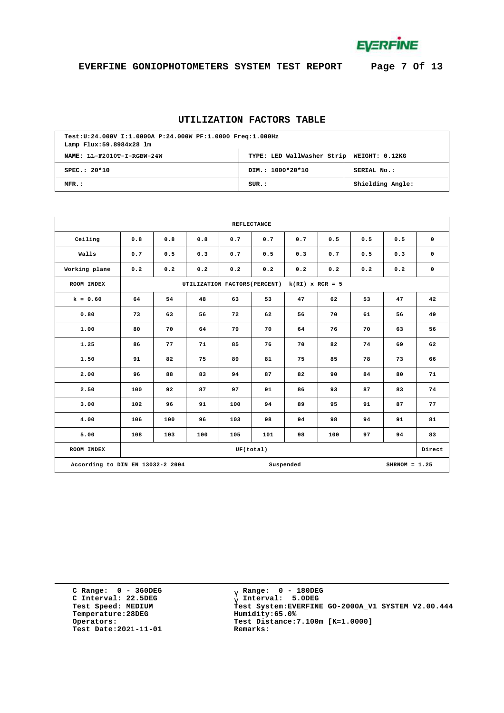

# **EVERFINE GONIOPHOTOMETERS SYSTEM TEST REPORT Page 7 Of 13**

### **UTILIZATION FACTORS TABLE**

| Test:U:24.000V I:1.0000A P:24.000W PF:1.0000 Freq:1.000Hz<br>Lamp Flux: 59.8984x28 lm |                                           |                  |  |  |  |  |  |  |  |
|---------------------------------------------------------------------------------------|-------------------------------------------|------------------|--|--|--|--|--|--|--|
| NAME: LL-F2010T-I-RGBW-24W                                                            | TYPE: LED WallWasher Strip WEIGHT: 0.12KG |                  |  |  |  |  |  |  |  |
| $SPEC.: 20*10$                                                                        | DIM.: 1000*20*10                          | SERIAL No.:      |  |  |  |  |  |  |  |
| MFR.:                                                                                 | SUR.:                                     | Shielding Angle: |  |  |  |  |  |  |  |

| <b>REFLECTANCE</b>                                               |           |                                                    |     |     |     |     |          |     |     |             |  |  |
|------------------------------------------------------------------|-----------|----------------------------------------------------|-----|-----|-----|-----|----------|-----|-----|-------------|--|--|
| Ceiling                                                          | 0.8       | 0.8                                                | 0.8 | 0.7 | 0.7 | 0.7 | 0.5      | 0.5 | 0.5 | $\mathbf 0$ |  |  |
| Walls                                                            | 0.7       | 0.5                                                |     | 0.7 | 0.5 | 0.3 | 0.7      | 0.5 | 0.3 | $\mathbf 0$ |  |  |
| Working plane                                                    | 0.2       | 0.2                                                | 0.2 | 0.2 | 0.2 | 0.2 | 0.2      | 0.2 | 0.2 | $\mathbf 0$ |  |  |
| ROOM INDEX                                                       |           | $k(RI)$ x RCR = 5<br>UTILIZATION FACTORS (PERCENT) |     |     |     |     |          |     |     |             |  |  |
| $k = 0.60$                                                       | 64        | 54                                                 | 48  | 63  | 53  | 47  | 62       | 53  | 47  | 42          |  |  |
| 0.80                                                             | 73        | 63                                                 | 56  | 72  | 62  | 56  | 70       | 61  | 56  | 49          |  |  |
| 1.00                                                             | 80        | 70                                                 | 64  | 79  | 70  | 64  | 76       | 70  | 63  | 56          |  |  |
| 1.25                                                             | 86        | 77                                                 | 71  | 85  |     | 70  | 82<br>74 |     | 69  | 62          |  |  |
| 1.50                                                             | 91        | 82                                                 | 75  | 89  | 81  | 75  | 85       | 78  | 73  | 66          |  |  |
| 2.00                                                             | 96        | 88                                                 | 83  | 94  | 87  | 82  | 90       | 84  | 80  | 71          |  |  |
| 2.50                                                             | 100       | 92                                                 | 87  | 97  | 91  | 86  | 93       | 87  | 83  | 74          |  |  |
| 3.00                                                             | 102       | 96                                                 | 91  | 100 | 94  | 89  | 95       | 91  | 87  | 77          |  |  |
| 4.00                                                             | 106       | 100                                                | 96  | 103 | 98  | 94  | 98       | 94  | 91  | 81          |  |  |
| 5.00                                                             | 108       | 103                                                | 100 | 105 | 101 | 98  | 100      | 97  | 94  | 83          |  |  |
| ROOM INDEX                                                       | UF(total) |                                                    |     |     |     |     |          |     |     |             |  |  |
| Suspended<br>According to DIN EN 13032-2 2004<br>$SHRNOM = 1.25$ |           |                                                    |     |     |     |     |          |     |     |             |  |  |

**C Range: 0 - 360DEG C Interval: 22.5DEG Test Speed: MEDIUM Temperature:28DEG Operators: Test Date:2021-11-01 Remarks:**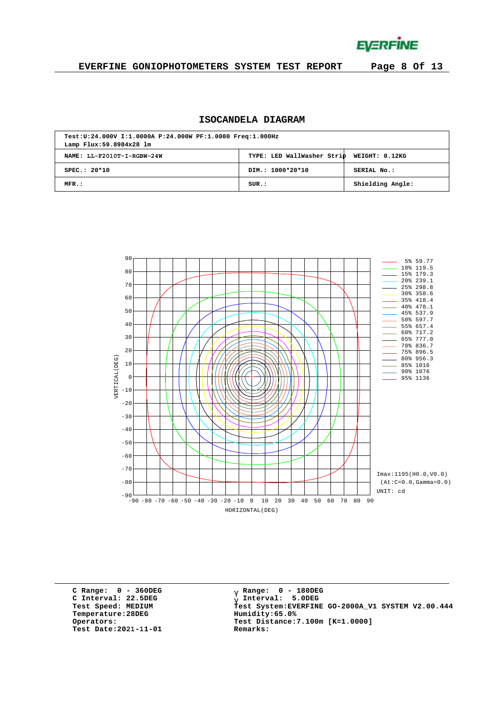**EVERFINE** 

# **EVERFINE GONIOPHOTOMETERS SYSTEM TEST REPORT Page 8 Of 13**

# **ISOCANDELA DIAGRAM**

| Test:U:24.000V I:1.0000A P:24.000W PF:1.0000 Freq:1.000Hz<br>Lamp Flux: 59.8984x28 lm |                                           |                  |  |  |  |  |  |  |  |
|---------------------------------------------------------------------------------------|-------------------------------------------|------------------|--|--|--|--|--|--|--|
| NAME: LL-F2010T-I-RGBW-24W                                                            | TYPE: LED WallWasher Strip WEIGHT: 0.12KG |                  |  |  |  |  |  |  |  |
| $SPEC.: 20*10$                                                                        | DIM.: 1000*20*10                          | SERIAL No.:      |  |  |  |  |  |  |  |
| MFR.:                                                                                 | SUR.:                                     | Shielding Angle: |  |  |  |  |  |  |  |



**C Range: 0 - 360DEG C Interval: 22.5DEG Test Speed: MEDIUM Temperature:28DEG Operators: Test Date:2021-11-01 Remarks:**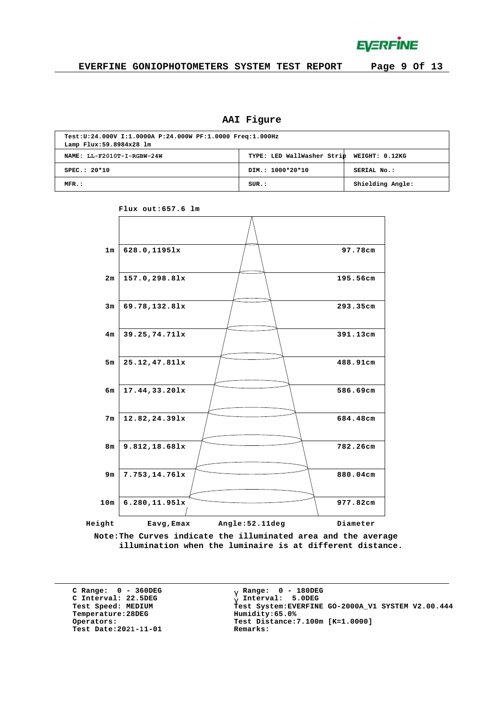

### **AAI Figure**

| Test:U:24.000V I:1.0000A P:24.000W PF:1.0000 Freq:1.000Hz<br>Lamp Flux: 59.8984x28 lm |                                           |                  |  |  |  |  |  |  |
|---------------------------------------------------------------------------------------|-------------------------------------------|------------------|--|--|--|--|--|--|
| NAME: LL-F2010T-I-RGBW-24W                                                            | TYPE: LED WallWasher Strip WEIGHT: 0.12KG |                  |  |  |  |  |  |  |
| $SPEC.: 20*10$                                                                        | DIM.: 1000*20*10                          | SERIAL No.:      |  |  |  |  |  |  |
| MFR.:                                                                                 | SUB.:                                     | Shielding Angle: |  |  |  |  |  |  |





**Note:The Curves indicate the illuminated area and the average illumination when the luminaire is at different distance.**

**C Range: 0 - 360DEG C Interval: 22.5DEG Test Speed: MEDIUM Temperature:28DEG Operators: Test Date:2021-11-01 Remarks:**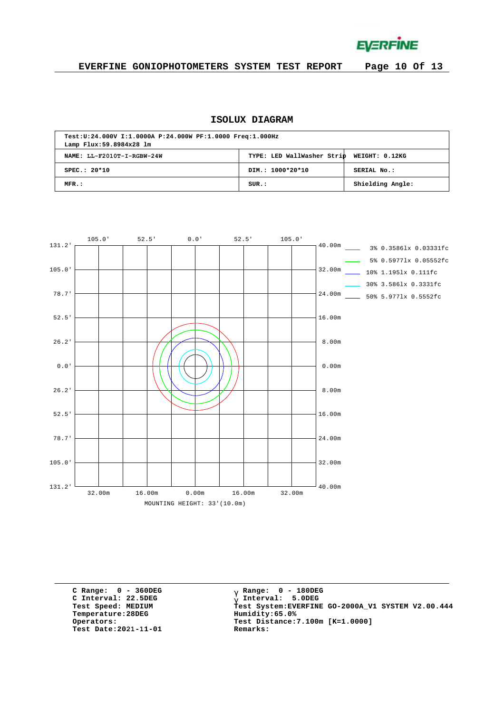**EVERFINE** 

# **EVERFINE GONIOPHOTOMETERS SYSTEM TEST REPORT Page 10 Of 13**

# **ISOLUX DIAGRAM**

| Test:U:24.000V I:1.0000A P:24.000W PF:1.0000 Freq:1.000Hz<br>Lamp Flux: 59.8984x28 lm |                                           |                  |  |  |  |  |  |  |  |
|---------------------------------------------------------------------------------------|-------------------------------------------|------------------|--|--|--|--|--|--|--|
| NAME: LL-F2010T-I-RGBW-24W                                                            | TYPE: LED WallWasher Strip WEIGHT: 0.12KG |                  |  |  |  |  |  |  |  |
| $SPEC.: 20*10$                                                                        | DIM.: 1000*20*10                          | SERIAL No.:      |  |  |  |  |  |  |  |
| MFR.:                                                                                 | SUR.:                                     | Shielding Angle: |  |  |  |  |  |  |  |



**C Range: 0 - 360DEG C Interval: 22.5DEG Test Speed: MEDIUM Temperature:28DEG Operators: Test Date:2021-11-01 Remarks:**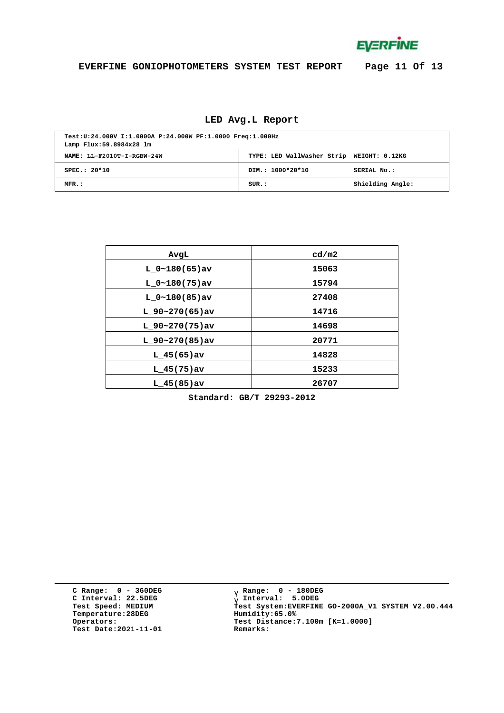**EVERFINE** 

# **EVERFINE GONIOPHOTOMETERS SYSTEM TEST REPORT Page 11 Of 13**

# **LED Avg.L Report**

| Test:U:24.000V I:1.0000A P:24.000W PF:1.0000 Freq:1.000Hz<br>Lamp Flux: 59.8984x28 lm |                                           |                  |  |  |  |  |  |  |
|---------------------------------------------------------------------------------------|-------------------------------------------|------------------|--|--|--|--|--|--|
| NAME: LL-F2010T-I-RGBW-24W                                                            | TYPE: LED WallWasher Strip WEIGHT: 0.12KG |                  |  |  |  |  |  |  |
| $SPEC.: 20*10$                                                                        | DIM.: 1000*20*10                          | SERIAL No.:      |  |  |  |  |  |  |
| MFR.:                                                                                 | SUR.:                                     | Shielding Angle: |  |  |  |  |  |  |

| cd/m2 |
|-------|
| 15063 |
| 15794 |
| 27408 |
| 14716 |
| 14698 |
| 20771 |
| 14828 |
| 15233 |
| 26707 |
|       |

**Standard: GB/T 29293-2012**

**C Range: 0 - 360DEG C Interval: 22.5DEG Test Speed: MEDIUM Temperature:28DEG Operators: Test Date:2021-11-01 Remarks:**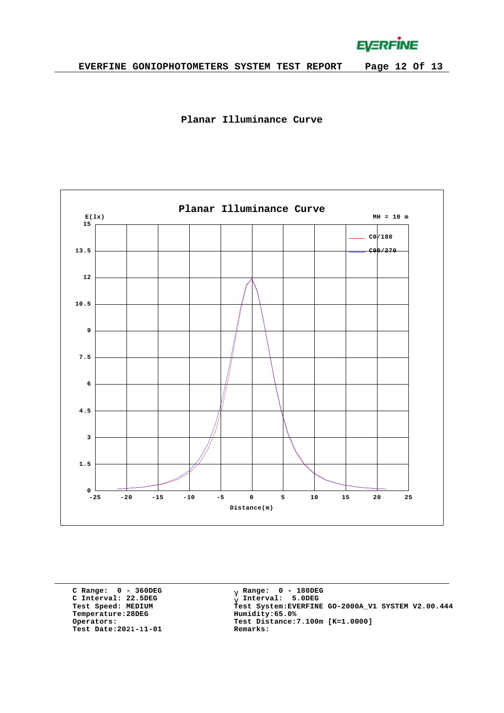**EVERFINE** 





**C Range: 0 - 360DEG C Interval: 22.5DEG Test Speed: MEDIUM Temperature:28DEG Operators: Test Date:2021-11-01 Remarks:**